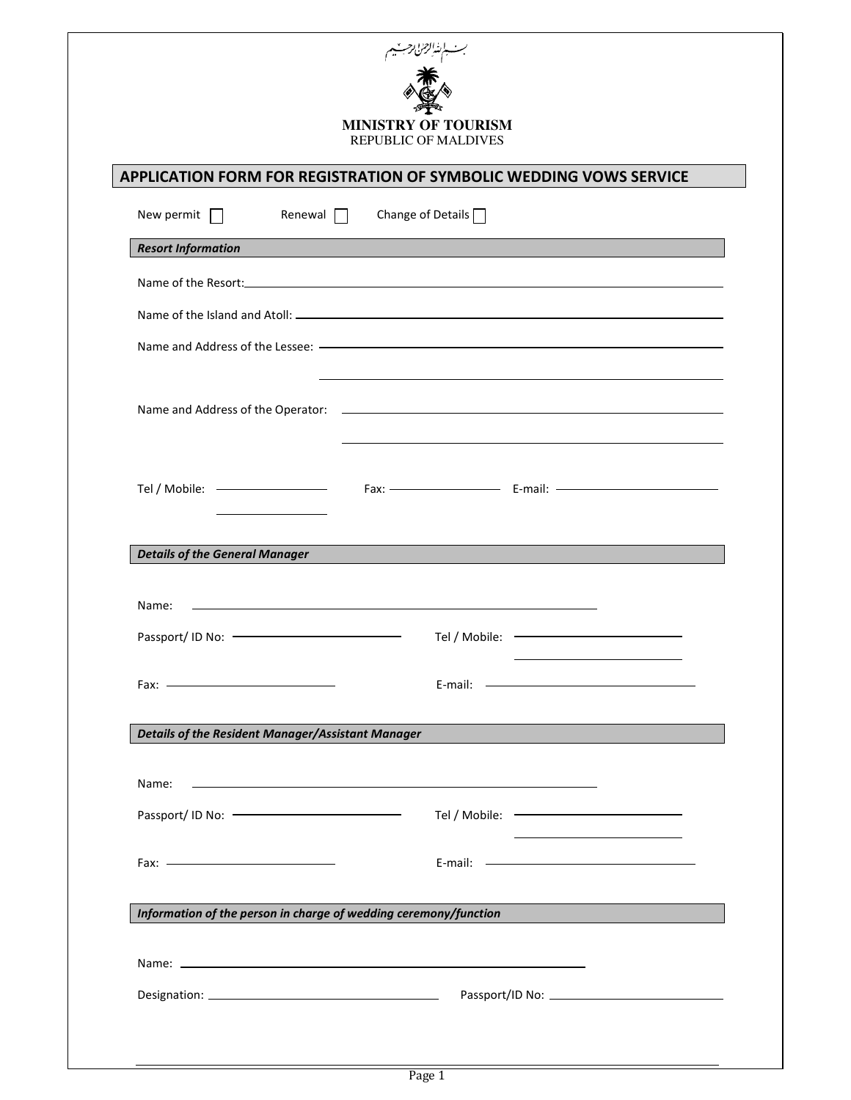| <b>MINISTRY OF TOURISM</b><br><b>REPUBLIC OF MALDIVES</b>                 |                                                                                                                       |  |  |
|---------------------------------------------------------------------------|-----------------------------------------------------------------------------------------------------------------------|--|--|
| <b>APPLICATION FORM FOR REGISTRATION OF SYMBOLIC WEDDING VOWS SERVICE</b> |                                                                                                                       |  |  |
| New permit $\Box$<br>Renewal $\Box$                                       | Change of Details $\Box$                                                                                              |  |  |
| <b>Resort Information</b>                                                 |                                                                                                                       |  |  |
|                                                                           |                                                                                                                       |  |  |
|                                                                           |                                                                                                                       |  |  |
|                                                                           |                                                                                                                       |  |  |
|                                                                           |                                                                                                                       |  |  |
|                                                                           |                                                                                                                       |  |  |
|                                                                           |                                                                                                                       |  |  |
| <u> 1989 - Johann Stein, fransk politik (</u><br>Tel / Mobile: $-$        |                                                                                                                       |  |  |
|                                                                           |                                                                                                                       |  |  |
| <b>Details of the General Manager</b>                                     |                                                                                                                       |  |  |
| Name:                                                                     | <u> 1989 - Johann Stoff, amerikansk politiker (* 1908)</u>                                                            |  |  |
| Passport/ ID No:                                                          | Tel / Mobile:                                                                                                         |  |  |
|                                                                           |                                                                                                                       |  |  |
|                                                                           |                                                                                                                       |  |  |
| <b>Details of the Resident Manager/Assistant Manager</b>                  |                                                                                                                       |  |  |
| Name:                                                                     | <u> 1999 - Johann Harry Harry Harry Harry Harry Harry Harry Harry Harry Harry Harry Harry Harry Harry Harry Harry</u> |  |  |
|                                                                           | <u> 1980 - Johann Barnett, fransk politik (</u>                                                                       |  |  |
|                                                                           |                                                                                                                       |  |  |
|                                                                           |                                                                                                                       |  |  |
|                                                                           | Information of the person in charge of wedding ceremony/function                                                      |  |  |
|                                                                           |                                                                                                                       |  |  |